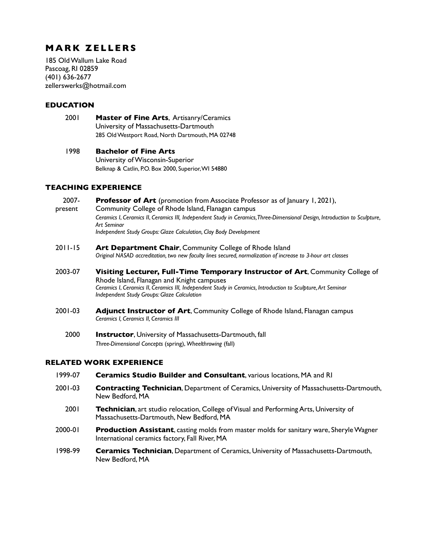# **MARK ZELLERS**

185 Old Wallum Lake Road Pascoag, RI 02859 (401) 636-2677 zellerswerks@hotmail.com

### **EDUCATION**

2001 **Master of Fine Arts**, Artisanry/Ceramics University of Massachusetts-Dartmouth 285 Old Westport Road, North Dartmouth, MA 02748

1998 **Bachelor of Fine Arts** University of Wisconsin-Superior Belknap & Catlin, P.O. Box 2000, Superior, WI 54880

#### **TEACHING EXPERIENCE**

2007- **Professor of Art** (promotion from Associate Professor as of January 1, 2021), present Community College of Rhode Island, Flanagan campus *Ceramics I*, *Ceramics II*, *Ceramics III, Independent Study in Ceramics, Three-Dimensional Design, Introduction to Sculpture, Art Seminar Independent Study Groups: Glaze Calculation, Clay Body Development* 2011-15 **Art Department Chair**, Community College of Rhode Island *Original NASAD accreditation, two new faculty lines secured, normalization of increase to 3-hour art classes* 2003-07 **Visiting Lecturer, Full-Time Temporary Instructor of Art**, Community College of Rhode Island, Flanagan and Knight campuses *Ceramics I*, *Ceramics II*, *Ceramics III, Independent Study in Ceramics, Introduction to Sculpture, Art Seminar Independent Study Groups: Glaze Calculation*

- 2001-03 **Adjunct Instructor of Art**, Community College of Rhode Island, Flanagan campus *Ceramics I, Ceramics II, Ceramics III*
	- 2000 **Instructor**, University of Massachusetts-Dartmouth, fall *Three-Dimensional Concepts* (spring), *Wheelthrowing* (fall)

## **RELATED WORK EXPERIENCE**

- 1999-07 **Ceramics Studio Builder and Consultant**, various locations, MA and RI
- 2001-03 **Contracting Technician**, Department of Ceramics, University of Massachusetts-Dartmouth, New Bedford, MA
	- 2001 **Technician**, art studio relocation, College of Visual and Performing Arts, University of Massachusetts-Dartmouth, New Bedford, MA
- 2000-01 **Production Assistant**, casting molds from master molds for sanitary ware, Sheryle Wagner International ceramics factory, Fall River, MA
- 1998-99 **Ceramics Technician**, Department of Ceramics, University of Massachusetts-Dartmouth, New Bedford, MA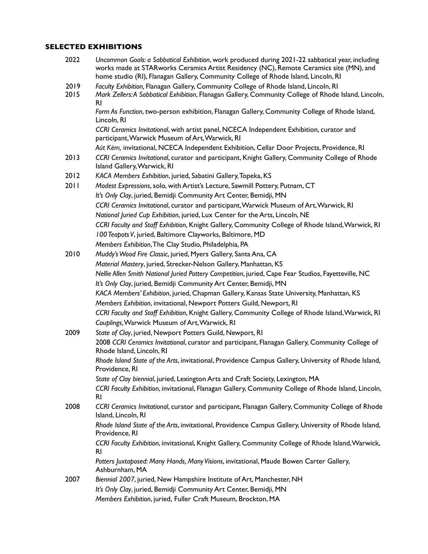# **SELECTED EXHIBITIONS**

| 2022         | Uncommon Goals: a Sabbatical Exhibition, work produced during 2021-22 sabbatical year, including<br>works made at STARworks Ceramics Artist Residency (NC), Remote Ceramics site (MN), and<br>home studio (RI), Flanagan Gallery, Community College of Rhode Island, Lincoln, RI |
|--------------|----------------------------------------------------------------------------------------------------------------------------------------------------------------------------------------------------------------------------------------------------------------------------------|
| 2019<br>2015 | Faculty Exhibition, Flanagan Gallery, Community College of Rhode Island, Lincoln, RI<br>Mark Zellers: A Sabbatical Exhibition, Flanagan Gallery, Community College of Rhode Island, Lincoln,                                                                                     |
|              | R <sub>l</sub><br>Form As Function, two-person exhibition, Flanagan Gallery, Community College of Rhode Island,<br>Lincoln, RI                                                                                                                                                   |
|              | CCRI Ceramics Invitational, with artist panel, NCECA Independent Exhibition, curator and<br>participant, Warwick Museum of Art, Warwick, RI                                                                                                                                      |
|              | Aút Këm, invitational, NCECA Independent Exhibition, Cellar Door Projects, Providence, RI                                                                                                                                                                                        |
| 2013         | CCRI Ceramics Invitational, curator and participant, Knight Gallery, Community College of Rhode<br>Island Gallery, Warwick, RI                                                                                                                                                   |
| 2012         | KACA Members Exhibition, juried, Sabatini Gallery, Topeka, KS                                                                                                                                                                                                                    |
| 2011         | Modest Expressions, solo, with Artist's Lecture, Sawmill Pottery, Putnam, CT                                                                                                                                                                                                     |
|              | It's Only Clay, juried, Bemidji Community Art Center, Bemidji, MN                                                                                                                                                                                                                |
|              | CCRI Ceramics Invitational, curator and participant, Warwick Museum of Art, Warwick, RI                                                                                                                                                                                          |
|              | National Juried Cup Exhibition, juried, Lux Center for the Arts, Lincoln, NE                                                                                                                                                                                                     |
|              | CCRI Faculty and Staff Exhibition, Knight Gallery, Community College of Rhode Island, Warwick, RI                                                                                                                                                                                |
|              | 100 Teapots V, juried, Baltimore Clayworks, Baltimore, MD                                                                                                                                                                                                                        |
|              | Members Exhibition, The Clay Studio, Philadelphia, PA                                                                                                                                                                                                                            |
| 2010         | Muddy's Wood Fire Classic, juried, Myers Gallery, Santa Ana, CA                                                                                                                                                                                                                  |
|              | Material Mastery, juried, Strecker-Nelson Gallery, Manhattan, KS                                                                                                                                                                                                                 |
|              | Nellie Allen Smith National Juried Pottery Competition, juried, Cape Fear Studios, Fayetteville, NC                                                                                                                                                                              |
|              | It's Only Clay, juried, Bemidji Community Art Center, Bemidji, MN                                                                                                                                                                                                                |
|              | KACA Members' Exhibition, juried, Chapman Gallery, Kansas State University, Manhattan, KS                                                                                                                                                                                        |
|              | Members Exhibition, invitational, Newport Potters Guild, Newport, RI                                                                                                                                                                                                             |
|              | CCRI Faculty and Staff Exhibition, Knight Gallery, Community College of Rhode Island, Warwick, RI                                                                                                                                                                                |
|              | Couplings, Warwick Museum of Art, Warwick, RI                                                                                                                                                                                                                                    |
| 2009         | State of Clay, juried, Newport Potters Guild, Newport, RI                                                                                                                                                                                                                        |
|              | 2008 CCRI Ceramics Invitational, curator and participant, Flanagan Gallery, Community College of<br>Rhode Island, Lincoln, RI                                                                                                                                                    |
|              | Rhode Island State of the Arts, invitational, Providence Campus Gallery, University of Rhode Island,<br>Providence. RI                                                                                                                                                           |
|              | State of Clay biennial, juried, Lexington Arts and Craft Society, Lexington, MA                                                                                                                                                                                                  |
|              | CCRI Faculty Exhibition, invitational, Flanagan Gallery, Community College of Rhode Island, Lincoln,<br>R <sub>l</sub>                                                                                                                                                           |
| 2008         | CCRI Ceramics Invitational, curator and participant, Flanagan Gallery, Community College of Rhode<br>Island, Lincoln, RI                                                                                                                                                         |
|              | Rhode Island State of the Arts, invitational, Providence Campus Gallery, University of Rhode Island,<br>Providence, RI                                                                                                                                                           |
|              | CCRI Faculty Exhibition, invitational, Knight Gallery, Community College of Rhode Island, Warwick,<br><b>RI</b>                                                                                                                                                                  |
|              | Potters Juxtaposed: Many Hands, Many Visions, invitational, Maude Bowen Carter Gallery,<br>Ashburnham, MA                                                                                                                                                                        |
| 2007         | Biennial 2007, juried, New Hampshire Institute of Art, Manchester, NH                                                                                                                                                                                                            |
|              | It's Only Clay, juried, Bemidji Community Art Center, Bemidji, MN                                                                                                                                                                                                                |
|              | Members Exhibition, juried, Fuller Craft Museum, Brockton, MA                                                                                                                                                                                                                    |